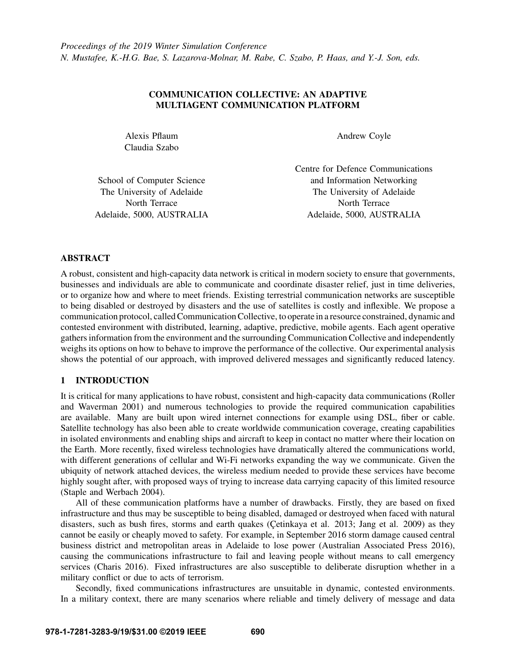# COMMUNICATION COLLECTIVE: AN ADAPTIVE MULTIAGENT COMMUNICATION PLATFORM

Alexis Pflaum Claudia Szabo Andrew Coyle

|                            | Centre for Defence Communications |
|----------------------------|-----------------------------------|
| School of Computer Science | and Information Networking        |
| The University of Adelaide | The University of Adelaide        |
| North Terrace              | North Terrace                     |
| Adelaide, 5000, AUSTRALIA  | Adelaide, 5000, AUSTRALIA         |

## ABSTRACT

A robust, consistent and high-capacity data network is critical in modern society to ensure that governments, businesses and individuals are able to communicate and coordinate disaster relief, just in time deliveries, or to organize how and where to meet friends. Existing terrestrial communication networks are susceptible to being disabled or destroyed by disasters and the use of satellites is costly and inflexible. We propose a communication protocol, called Communication Collective, to operate in a resource constrained, dynamic and contested environment with distributed, learning, adaptive, predictive, mobile agents. Each agent operative gathers information from the environment and the surrounding Communication Collective and independently weighs its options on how to behave to improve the performance of the collective. Our experimental analysis shows the potential of our approach, with improved delivered messages and significantly reduced latency.

# 1 INTRODUCTION

It is critical for many applications to have robust, consistent and high-capacity data communications [\(Roller](#page-11-0) [and Waverman 2001\)](#page-11-0) and numerous technologies to provide the required communication capabilities are available. Many are built upon wired internet connections for example using DSL, fiber or cable. Satellite technology has also been able to create worldwide communication coverage, creating capabilities in isolated environments and enabling ships and aircraft to keep in contact no matter where their location on the Earth. More recently, fixed wireless technologies have dramatically altered the communications world, with different generations of cellular and Wi-Fi networks expanding the way we communicate. Given the ubiquity of network attached devices, the wireless medium needed to provide these services have become highly sought after, with proposed ways of trying to increase data carrying capacity of this limited resource [\(Staple and Werbach 2004\)](#page-11-1).

All of these communication platforms have a number of drawbacks. Firstly, they are based on fixed infrastructure and thus may be susceptible to being disabled, damaged or destroyed when faced with natural disasters, such as bush fires, storms and earth quakes [\(Çetinkaya et al. 2013;](#page-10-0) [Jang et al. 2009\)](#page-11-2) as they cannot be easily or cheaply moved to safety. For example, in September 2016 storm damage caused central business district and metropolitan areas in Adelaide to lose power [\(Australian Associated Press 2016\)](#page-10-1), causing the communications infrastructure to fail and leaving people without means to call emergency services [\(Charis 2016\)](#page-10-2). Fixed infrastructures are also susceptible to deliberate disruption whether in a military conflict or due to acts of terrorism.

Secondly, fixed communications infrastructures are unsuitable in dynamic, contested environments. In a military context, there are many scenarios where reliable and timely delivery of message and data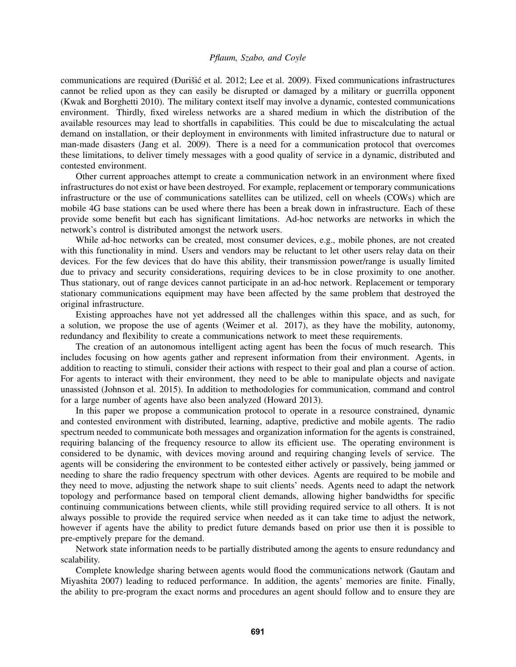communications are required (Đurišić et al. 2012; [Lee et al. 2009\)](#page-11-3). Fixed communications infrastructures cannot be relied upon as they can easily be disrupted or damaged by a military or guerrilla opponent [\(Kwak and Borghetti 2010\)](#page-11-4). The military context itself may involve a dynamic, contested communications environment. Thirdly, fixed wireless networks are a shared medium in which the distribution of the available resources may lead to shortfalls in capabilities. This could be due to miscalculating the actual demand on installation, or their deployment in environments with limited infrastructure due to natural or man-made disasters [\(Jang et al. 2009\)](#page-11-2). There is a need for a communication protocol that overcomes these limitations, to deliver timely messages with a good quality of service in a dynamic, distributed and contested environment.

Other current approaches attempt to create a communication network in an environment where fixed infrastructures do not exist or have been destroyed. For example, replacement or temporary communications infrastructure or the use of communications satellites can be utilized, cell on wheels (COWs) which are mobile 4G base stations can be used where there has been a break down in infrastructure. Each of these provide some benefit but each has significant limitations. Ad-hoc networks are networks in which the network's control is distributed amongst the network users.

While ad-hoc networks can be created, most consumer devices, e.g., mobile phones, are not created with this functionality in mind. Users and vendors may be reluctant to let other users relay data on their devices. For the few devices that do have this ability, their transmission power/range is usually limited due to privacy and security considerations, requiring devices to be in close proximity to one another. Thus stationary, out of range devices cannot participate in an ad-hoc network. Replacement or temporary stationary communications equipment may have been affected by the same problem that destroyed the original infrastructure.

Existing approaches have not yet addressed all the challenges within this space, and as such, for a solution, we propose the use of agents [\(Weimer et al. 2017\)](#page-11-5), as they have the mobility, autonomy, redundancy and flexibility to create a communications network to meet these requirements.

The creation of an autonomous intelligent acting agent has been the focus of much research. This includes focusing on how agents gather and represent information from their environment. Agents, in addition to reacting to stimuli, consider their actions with respect to their goal and plan a course of action. For agents to interact with their environment, they need to be able to manipulate objects and navigate unassisted [\(Johnson et al. 2015\)](#page-11-6). In addition to methodologies for communication, command and control for a large number of agents have also been analyzed [\(Howard 2013\)](#page-10-4).

In this paper we propose a communication protocol to operate in a resource constrained, dynamic and contested environment with distributed, learning, adaptive, predictive and mobile agents. The radio spectrum needed to communicate both messages and organization information for the agents is constrained, requiring balancing of the frequency resource to allow its efficient use. The operating environment is considered to be dynamic, with devices moving around and requiring changing levels of service. The agents will be considering the environment to be contested either actively or passively, being jammed or needing to share the radio frequency spectrum with other devices. Agents are required to be mobile and they need to move, adjusting the network shape to suit clients' needs. Agents need to adapt the network topology and performance based on temporal client demands, allowing higher bandwidths for specific continuing communications between clients, while still providing required service to all others. It is not always possible to provide the required service when needed as it can take time to adjust the network, however if agents have the ability to predict future demands based on prior use then it is possible to pre-emptively prepare for the demand.

Network state information needs to be partially distributed among the agents to ensure redundancy and scalability.

Complete knowledge sharing between agents would flood the communications network [\(Gautam and](#page-10-5) [Miyashita 2007\)](#page-10-5) leading to reduced performance. In addition, the agents' memories are finite. Finally, the ability to pre-program the exact norms and procedures an agent should follow and to ensure they are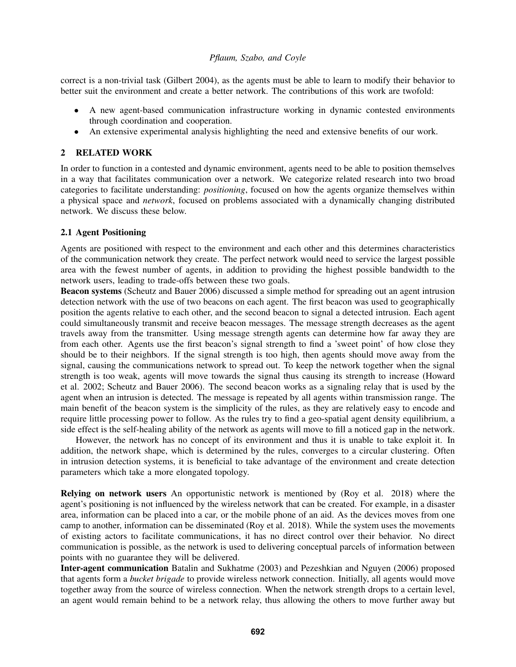correct is a non-trivial task [\(Gilbert 2004\)](#page-10-6), as the agents must be able to learn to modify their behavior to better suit the environment and create a better network. The contributions of this work are twofold:

- A new agent-based communication infrastructure working in dynamic contested environments through coordination and cooperation.
- An extensive experimental analysis highlighting the need and extensive benefits of our work.

# 2 RELATED WORK

In order to function in a contested and dynamic environment, agents need to be able to position themselves in a way that facilitates communication over a network. We categorize related research into two broad categories to facilitate understanding: *positioning*, focused on how the agents organize themselves within a physical space and *network*, focused on problems associated with a dynamically changing distributed network. We discuss these below.

## 2.1 Agent Positioning

Agents are positioned with respect to the environment and each other and this determines characteristics of the communication network they create. The perfect network would need to service the largest possible area with the fewest number of agents, in addition to providing the highest possible bandwidth to the network users, leading to trade-offs between these two goals.

Beacon systems [\(Scheutz and Bauer 2006\)](#page-11-7) discussed a simple method for spreading out an agent intrusion detection network with the use of two beacons on each agent. The first beacon was used to geographically position the agents relative to each other, and the second beacon to signal a detected intrusion. Each agent could simultaneously transmit and receive beacon messages. The message strength decreases as the agent travels away from the transmitter. Using message strength agents can determine how far away they are from each other. Agents use the first beacon's signal strength to find a 'sweet point' of how close they should be to their neighbors. If the signal strength is too high, then agents should move away from the signal, causing the communications network to spread out. To keep the network together when the signal strength is too weak, agents will move towards the signal thus causing its strength to increase [\(Howard](#page-10-7) [et al. 2002;](#page-10-7) [Scheutz and Bauer 2006\)](#page-11-7). The second beacon works as a signaling relay that is used by the agent when an intrusion is detected. The message is repeated by all agents within transmission range. The main benefit of the beacon system is the simplicity of the rules, as they are relatively easy to encode and require little processing power to follow. As the rules try to find a geo-spatial agent density equilibrium, a side effect is the self-healing ability of the network as agents will move to fill a noticed gap in the network.

However, the network has no concept of its environment and thus it is unable to take exploit it. In addition, the network shape, which is determined by the rules, converges to a circular clustering. Often in intrusion detection systems, it is beneficial to take advantage of the environment and create detection parameters which take a more elongated topology.

Relying on network users An opportunistic network is mentioned by [\(Roy et al. 2018\)](#page-11-8) where the agent's positioning is not influenced by the wireless network that can be created. For example, in a disaster area, information can be placed into a car, or the mobile phone of an aid. As the devices moves from one camp to another, information can be disseminated [\(Roy et al. 2018\)](#page-11-8). While the system uses the movements of existing actors to facilitate communications, it has no direct control over their behavior. No direct communication is possible, as the network is used to delivering conceptual parcels of information between points with no guarantee they will be delivered.

Inter-agent communication [Batalin and Sukhatme \(2003\)](#page-10-8) and [Pezeshkian and Nguyen \(2006\)](#page-11-9) proposed that agents form a *bucket brigade* to provide wireless network connection. Initially, all agents would move together away from the source of wireless connection. When the network strength drops to a certain level, an agent would remain behind to be a network relay, thus allowing the others to move further away but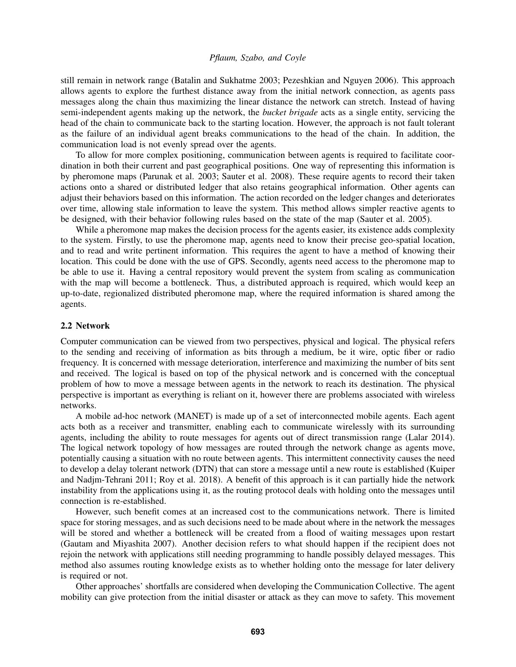still remain in network range [\(Batalin and Sukhatme 2003;](#page-10-8) [Pezeshkian and Nguyen 2006\)](#page-11-9). This approach allows agents to explore the furthest distance away from the initial network connection, as agents pass messages along the chain thus maximizing the linear distance the network can stretch. Instead of having semi-independent agents making up the network, the *bucket brigade* acts as a single entity, servicing the head of the chain to communicate back to the starting location. However, the approach is not fault tolerant as the failure of an individual agent breaks communications to the head of the chain. In addition, the communication load is not evenly spread over the agents.

To allow for more complex positioning, communication between agents is required to facilitate coordination in both their current and past geographical positions. One way of representing this information is by pheromone maps [\(Parunak et al. 2003;](#page-11-10) [Sauter et al. 2008\)](#page-11-11). These require agents to record their taken actions onto a shared or distributed ledger that also retains geographical information. Other agents can adjust their behaviors based on this information. The action recorded on the ledger changes and deteriorates over time, allowing stale information to leave the system. This method allows simpler reactive agents to be designed, with their behavior following rules based on the state of the map [\(Sauter et al. 2005\)](#page-11-12).

While a pheromone map makes the decision process for the agents easier, its existence adds complexity to the system. Firstly, to use the pheromone map, agents need to know their precise geo-spatial location, and to read and write pertinent information. This requires the agent to have a method of knowing their location. This could be done with the use of GPS. Secondly, agents need access to the pheromone map to be able to use it. Having a central repository would prevent the system from scaling as communication with the map will become a bottleneck. Thus, a distributed approach is required, which would keep an up-to-date, regionalized distributed pheromone map, where the required information is shared among the agents.

### 2.2 Network

Computer communication can be viewed from two perspectives, physical and logical. The physical refers to the sending and receiving of information as bits through a medium, be it wire, optic fiber or radio frequency. It is concerned with message deterioration, interference and maximizing the number of bits sent and received. The logical is based on top of the physical network and is concerned with the conceptual problem of how to move a message between agents in the network to reach its destination. The physical perspective is important as everything is reliant on it, however there are problems associated with wireless networks.

A mobile ad-hoc network (MANET) is made up of a set of interconnected mobile agents. Each agent acts both as a receiver and transmitter, enabling each to communicate wirelessly with its surrounding agents, including the ability to route messages for agents out of direct transmission range [\(Lalar 2014\)](#page-11-13). The logical network topology of how messages are routed through the network change as agents move, potentially causing a situation with no route between agents. This intermittent connectivity causes the need to develop a delay tolerant network (DTN) that can store a message until a new route is established [\(Kuiper](#page-11-14) [and Nadjm-Tehrani 2011;](#page-11-14) [Roy et al. 2018\)](#page-11-8). A benefit of this approach is it can partially hide the network instability from the applications using it, as the routing protocol deals with holding onto the messages until connection is re-established.

However, such benefit comes at an increased cost to the communications network. There is limited space for storing messages, and as such decisions need to be made about where in the network the messages will be stored and whether a bottleneck will be created from a flood of waiting messages upon restart [\(Gautam and Miyashita 2007\)](#page-10-5). Another decision refers to what should happen if the recipient does not rejoin the network with applications still needing programming to handle possibly delayed messages. This method also assumes routing knowledge exists as to whether holding onto the message for later delivery is required or not.

Other approaches' shortfalls are considered when developing the Communication Collective. The agent mobility can give protection from the initial disaster or attack as they can move to safety. This movement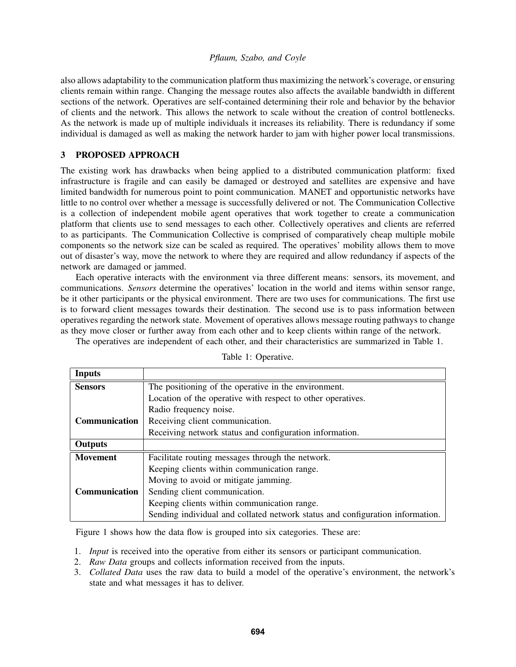also allows adaptability to the communication platform thus maximizing the network's coverage, or ensuring clients remain within range. Changing the message routes also affects the available bandwidth in different sections of the network. Operatives are self-contained determining their role and behavior by the behavior of clients and the network. This allows the network to scale without the creation of control bottlenecks. As the network is made up of multiple individuals it increases its reliability. There is redundancy if some individual is damaged as well as making the network harder to jam with higher power local transmissions.

## 3 PROPOSED APPROACH

The existing work has drawbacks when being applied to a distributed communication platform: fixed infrastructure is fragile and can easily be damaged or destroyed and satellites are expensive and have limited bandwidth for numerous point to point communication. MANET and opportunistic networks have little to no control over whether a message is successfully delivered or not. The Communication Collective is a collection of independent mobile agent operatives that work together to create a communication platform that clients use to send messages to each other. Collectively operatives and clients are referred to as participants. The Communication Collective is comprised of comparatively cheap multiple mobile components so the network size can be scaled as required. The operatives' mobility allows them to move out of disaster's way, move the network to where they are required and allow redundancy if aspects of the network are damaged or jammed.

Each operative interacts with the environment via three different means: sensors, its movement, and communications. *Sensors* determine the operatives' location in the world and items within sensor range, be it other participants or the physical environment. There are two uses for communications. The first use is to forward client messages towards their destination. The second use is to pass information between operatives regarding the network state. Movement of operatives allows message routing pathways to change as they move closer or further away from each other and to keep clients within range of the network.

The operatives are independent of each other, and their characteristics are summarized in Table [1.](#page-4-0)

| <b>Inputs</b>   |                                                                               |
|-----------------|-------------------------------------------------------------------------------|
| <b>Sensors</b>  | The positioning of the operative in the environment.                          |
|                 | Location of the operative with respect to other operatives.                   |
|                 | Radio frequency noise.                                                        |
| Communication   | Receiving client communication.                                               |
|                 | Receiving network status and configuration information.                       |
| Outputs         |                                                                               |
| <b>Movement</b> | Facilitate routing messages through the network.                              |
|                 | Keeping clients within communication range.                                   |
|                 | Moving to avoid or mitigate jamming.                                          |
| Communication   | Sending client communication.                                                 |
|                 | Keeping clients within communication range.                                   |
|                 | Sending individual and collated network status and configuration information. |

<span id="page-4-0"></span>Table 1: Operative.

Figure [1](#page-5-0) shows how the data flow is grouped into six categories. These are:

- 1. *Input* is received into the operative from either its sensors or participant communication.
- 2. *Raw Data* groups and collects information received from the inputs.
- 3. *Collated Data* uses the raw data to build a model of the operative's environment, the network's state and what messages it has to deliver.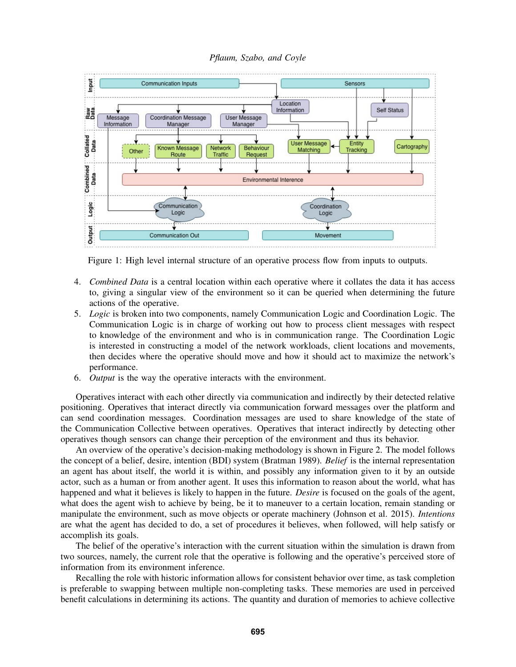



<span id="page-5-0"></span>Figure 1: High level internal structure of an operative process flow from inputs to outputs.

- 4. *Combined Data* is a central location within each operative where it collates the data it has access to, giving a singular view of the environment so it can be queried when determining the future actions of the operative.
- 5. *Logic* is broken into two components, namely Communication Logic and Coordination Logic. The Communication Logic is in charge of working out how to process client messages with respect to knowledge of the environment and who is in communication range. The Coordination Logic is interested in constructing a model of the network workloads, client locations and movements, then decides where the operative should move and how it should act to maximize the network's performance.
- 6. *Output* is the way the operative interacts with the environment.

Operatives interact with each other directly via communication and indirectly by their detected relative positioning. Operatives that interact directly via communication forward messages over the platform and can send coordination messages. Coordination messages are used to share knowledge of the state of the Communication Collective between operatives. Operatives that interact indirectly by detecting other operatives though sensors can change their perception of the environment and thus its behavior.

An overview of the operative's decision-making methodology is shown in Figure [2.](#page-6-0) The model follows the concept of a belief, desire, intention (BDI) system [\(Bratman 1989\)](#page-10-9). *Belief* is the internal representation an agent has about itself, the world it is within, and possibly any information given to it by an outside actor, such as a human or from another agent. It uses this information to reason about the world, what has happened and what it believes is likely to happen in the future. *Desire* is focused on the goals of the agent, what does the agent wish to achieve by being, be it to maneuver to a certain location, remain standing or manipulate the environment, such as move objects or operate machinery [\(Johnson et al. 2015\)](#page-11-6). *Intentions* are what the agent has decided to do, a set of procedures it believes, when followed, will help satisfy or accomplish its goals.

The belief of the operative's interaction with the current situation within the simulation is drawn from two sources, namely, the current role that the operative is following and the operative's perceived store of information from its environment inference.

Recalling the role with historic information allows for consistent behavior over time, as task completion is preferable to swapping between multiple non-completing tasks. These memories are used in perceived benefit calculations in determining its actions. The quantity and duration of memories to achieve collective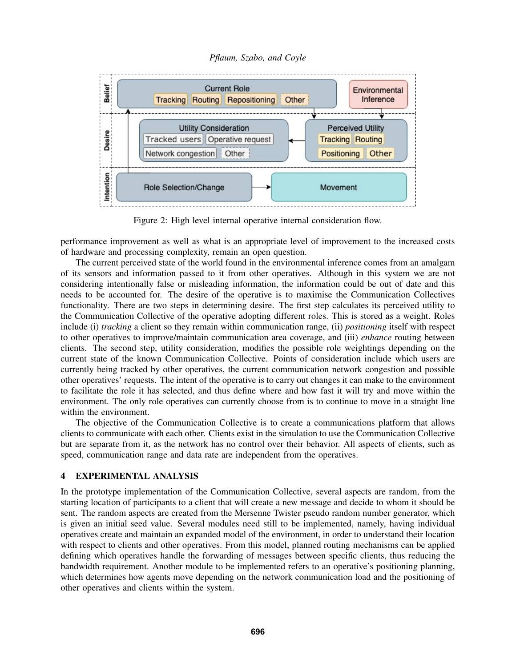*Pflaum, Szabo, and Coyle*



<span id="page-6-0"></span>Figure 2: High level internal operative internal consideration flow.

performance improvement as well as what is an appropriate level of improvement to the increased costs of hardware and processing complexity, remain an open question.

The current perceived state of the world found in the environmental inference comes from an amalgam of its sensors and information passed to it from other operatives. Although in this system we are not considering intentionally false or misleading information, the information could be out of date and this needs to be accounted for. The desire of the operative is to maximise the Communication Collectives functionality. There are two steps in determining desire. The first step calculates its perceived utility to the Communication Collective of the operative adopting different roles. This is stored as a weight. Roles include (i) *tracking* a client so they remain within communication range, (ii) *positioning* itself with respect to other operatives to improve/maintain communication area coverage, and (iii) *enhance* routing between clients. The second step, utility consideration, modifies the possible role weightings depending on the current state of the known Communication Collective. Points of consideration include which users are currently being tracked by other operatives, the current communication network congestion and possible other operatives' requests. The intent of the operative is to carry out changes it can make to the environment to facilitate the role it has selected, and thus define where and how fast it will try and move within the environment. The only role operatives can currently choose from is to continue to move in a straight line within the environment.

The objective of the Communication Collective is to create a communications platform that allows clients to communicate with each other. Clients exist in the simulation to use the Communication Collective but are separate from it, as the network has no control over their behavior. All aspects of clients, such as speed, communication range and data rate are independent from the operatives.

## 4 EXPERIMENTAL ANALYSIS

In the prototype implementation of the Communication Collective, several aspects are random, from the starting location of participants to a client that will create a new message and decide to whom it should be sent. The random aspects are created from the Mersenne Twister pseudo random number generator, which is given an initial seed value. Several modules need still to be implemented, namely, having individual operatives create and maintain an expanded model of the environment, in order to understand their location with respect to clients and other operatives. From this model, planned routing mechanisms can be applied defining which operatives handle the forwarding of messages between specific clients, thus reducing the bandwidth requirement. Another module to be implemented refers to an operative's positioning planning, which determines how agents move depending on the network communication load and the positioning of other operatives and clients within the system.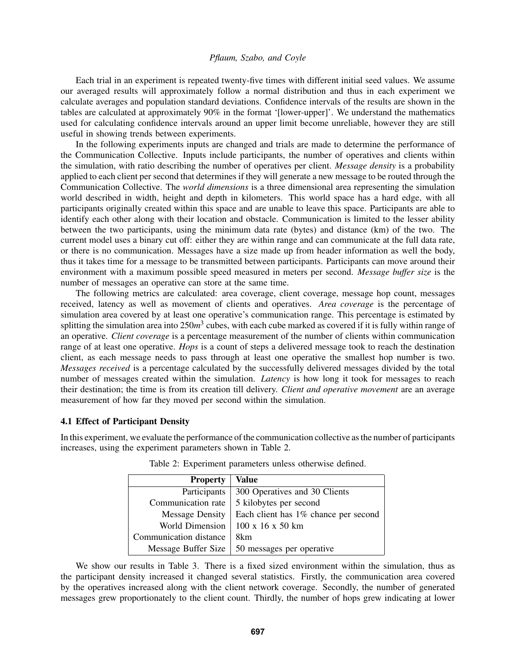Each trial in an experiment is repeated twenty-five times with different initial seed values. We assume our averaged results will approximately follow a normal distribution and thus in each experiment we calculate averages and population standard deviations. Confidence intervals of the results are shown in the tables are calculated at approximately 90% in the format '[lower-upper]'. We understand the mathematics used for calculating confidence intervals around an upper limit become unreliable, however they are still useful in showing trends between experiments.

In the following experiments inputs are changed and trials are made to determine the performance of the Communication Collective. Inputs include participants, the number of operatives and clients within the simulation, with ratio describing the number of operatives per client. *Message density* is a probability applied to each client per second that determines if they will generate a new message to be routed through the Communication Collective. The *world dimensions* is a three dimensional area representing the simulation world described in width, height and depth in kilometers. This world space has a hard edge, with all participants originally created within this space and are unable to leave this space. Participants are able to identify each other along with their location and obstacle. Communication is limited to the lesser ability between the two participants, using the minimum data rate (bytes) and distance (km) of the two. The current model uses a binary cut off: either they are within range and can communicate at the full data rate, or there is no communication. Messages have a size made up from header information as well the body, thus it takes time for a message to be transmitted between participants. Participants can move around their environment with a maximum possible speed measured in meters per second. *Message buffer size* is the number of messages an operative can store at the same time.

The following metrics are calculated: area coverage, client coverage, message hop count, messages received, latency as well as movement of clients and operatives. *Area coverage* is the percentage of simulation area covered by at least one operative's communication range. This percentage is estimated by splitting the simulation area into 250*m* 3 cubes, with each cube marked as covered if it is fully within range of an operative. *Client coverage* is a percentage measurement of the number of clients within communication range of at least one operative. *Hops* is a count of steps a delivered message took to reach the destination client, as each message needs to pass through at least one operative the smallest hop number is two. *Messages received* is a percentage calculated by the successfully delivered messages divided by the total number of messages created within the simulation. *Latency* is how long it took for messages to reach their destination; the time is from its creation till delivery. *Client and operative movement* are an average measurement of how far they moved per second within the simulation.

## 4.1 Effect of Participant Density

In this experiment, we evaluate the performance of the communication collective as the number of participants increases, using the experiment parameters shown in Table [2.](#page-7-0)

| <b>Property</b>        | Value                                |
|------------------------|--------------------------------------|
| Participants           | 300 Operatives and 30 Clients        |
| Communication rate     | 5 kilobytes per second               |
| <b>Message Density</b> | Each client has 1% chance per second |
| <b>World Dimension</b> | $100 \times 16 \times 50 \text{ km}$ |
| Communication distance | 8km                                  |
| Message Buffer Size    | 50 messages per operative            |

<span id="page-7-0"></span>

| Table 2: Experiment parameters unless otherwise defined. |  |  |  |  |
|----------------------------------------------------------|--|--|--|--|
|----------------------------------------------------------|--|--|--|--|

We show our results in Table [3.](#page-8-0) There is a fixed sized environment within the simulation, thus as the participant density increased it changed several statistics. Firstly, the communication area covered by the operatives increased along with the client network coverage. Secondly, the number of generated messages grew proportionately to the client count. Thirdly, the number of hops grew indicating at lower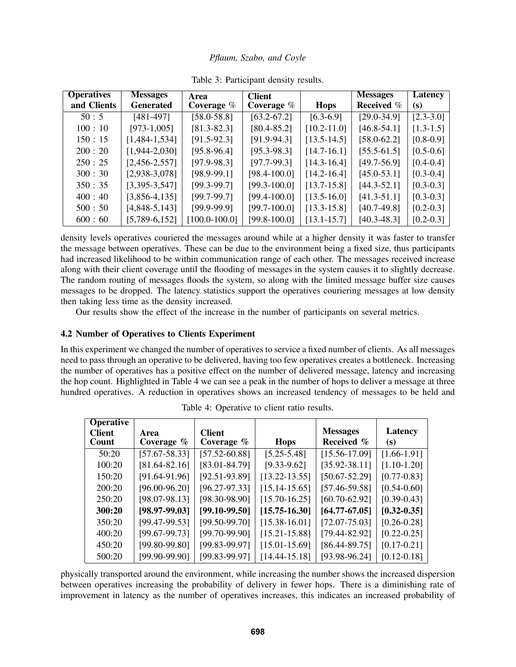<span id="page-8-0"></span>

| Pflaum, Szabo, and Coyle |  |  |
|--------------------------|--|--|
|                          |  |  |

| <b>Operatives</b> | <b>Messages</b>  | Area              | <b>Client</b>    |                 | <b>Messages</b>   | <b>Latency</b> |
|-------------------|------------------|-------------------|------------------|-----------------|-------------------|----------------|
| and Clients       | <b>Generated</b> | Coverage $\%$     | Coverage $%$     | <b>Hops</b>     | <b>Received</b> % | (s)            |
| 50:5              | $[481-497]$      | $[58.0 - 58.8]$   | $[63.2 - 67.2]$  | $[6.3-6.9]$     | $[29.0 - 34.9]$   | $[2.3 - 3.0]$  |
| 100:10            | $[973-1,005]$    | $[81.3 - 82.3]$   | $[80.4 - 85.2]$  | $[10.2 - 11.0]$ | $[46.8 - 54.1]$   | $[1.3-1.5]$    |
| 150:15            | $[1,484-1,534]$  | $[91.5-92.3]$     | $[91.9-94.3]$    | $[13.5 - 14.5]$ | $[58.0 - 62.2]$   | $[0.8 - 0.9]$  |
| 200:20            | $[1,944-2,030]$  | $[95.8 - 96.4]$   | $[95.3 - 98.3]$  | $[14.7-16.1]$   | $[55.5-61.5]$     | $[0.5-0.6]$    |
| 250:25            | $[2,456-2,557]$  | $[97.9 - 98.3]$   | $[97.7-99.3]$    | $[14.3 - 16.4]$ | $[49.7 - 56.9]$   | $[0.4 - 0.4]$  |
| 300:30            | $[2,938-3,078]$  | $[98.9 - 99.1]$   | [98.4-100.0]     | $[14.2 - 16.4]$ | $[45.0 - 53.1]$   | $[0.3 - 0.4]$  |
| 350:35            | $[3,395-3,547]$  | $[99.3-99.7]$     | $[99.3 - 100.0]$ | $[13.7-15.8]$   | $[44.3 - 52.1]$   | $[0.3 - 0.3]$  |
| 400:40            | $[3,856-4,135]$  | $[99.7-99.7]$     | $[99.4 - 100.0]$ | $[13.5 - 16.0]$ | $[41.3 - 51.1]$   | $[0.3 - 0.3]$  |
| 500:50            | $[4,848-5,143]$  | $[99.9-99.9]$     | $[99.7-100.0]$   | $[13.3 - 15.8]$ | $[40.7 - 49.8]$   | $[0.2 - 0.3]$  |
| 600:60            | $[5,789-6,152]$  | $[100.0 - 100.0]$ | $[99.8 - 100.0]$ | $[13.1 - 15.7]$ | $[40.3 - 48.3]$   | $[0.2 - 0.3]$  |

Table 3: Participant density results.

density levels operatives couriered the messages around while at a higher density it was faster to transfer the message between operatives. These can be due to the environment being a fixed size, thus participants had increased likelihood to be within communication range of each other. The messages received increase along with their client coverage until the flooding of messages in the system causes it to slightly decrease. The random routing of messages floods the system, so along with the limited message buffer size causes messages to be dropped. The latency statistics support the operatives couriering messages at low density then taking less time as the density increased.

Our results show the effect of the increase in the number of participants on several metrics.

# 4.2 Number of Operatives to Clients Experiment

In this experiment we changed the number of operatives to service a fixed number of clients. As all messages need to pass through an operative to be delivered, having too few operatives creates a bottleneck. Increasing the number of operatives has a positive effect on the number of delivered message, latency and increasing the hop count. Highlighted in Table [4](#page-8-1) we can see a peak in the number of hops to deliver a message at three hundred operatives. A reduction in operatives shows an increased tendency of messages to be held and

| <b>Operative</b>       |                       |                                |                   |                               |                 |
|------------------------|-----------------------|--------------------------------|-------------------|-------------------------------|-----------------|
| <b>Client</b><br>Count | Area<br>Coverage $\%$ | <b>Client</b><br>Coverage $\%$ | <b>Hops</b>       | <b>Messages</b><br>Received % | Latency<br>(S)  |
|                        |                       |                                |                   |                               |                 |
| 50:20                  | $[57.67 - 58.33]$     | $[57.52 - 60.88]$              | $[5.25 - 5.48]$   | $[15.56 - 17.09]$             | $[1.66 - 1.91]$ |
| 100:20                 | $[81.64 - 82.16]$     | $[83.01 - 84.79]$              | $[9.33 - 9.62]$   | $[35.92 - 38.11]$             | $[1.10-1.20]$   |
| 150:20                 | $[91.64-91.96]$       | $[92.51-93.89]$                | $[13.22 - 13.55]$ | [50.67-52.29]                 | $[0.77 - 0.83]$ |
| 200:20                 | $[96.00 - 96.20]$     | $[96.27-97.33]$                | $[15.14 - 15.65]$ | $[57.46 - 59.58]$             | $[0.54 - 0.60]$ |
| 250:20                 | $[98.07 - 98.13]$     | $[98.30 - 98.90]$              | $[15.70 - 16.25]$ | $[60.70 - 62.92]$             | $[0.39 - 0.43]$ |
| 300:20                 | $[98.97 - 99.03]$     | $[99.10 - 99.50]$              | $[15.75 - 16.30]$ | $[64.77 - 67.05]$             | $[0.32 - 0.35]$ |
| 350:20                 | $[99.47-99.53]$       | $[99.50-99.70]$                | $[15.38 - 16.01]$ | $[72.07 - 75.03]$             | $[0.26 - 0.28]$ |
| 400:20                 | $[99.67 - 99.73]$     | $[99.70 - 99.90]$              | $[15.21 - 15.88]$ | $[79.44 - 82.92]$             | $[0.22 - 0.25]$ |
| 450:20                 | $[99.80 - 99.80]$     | $[99.83 - 99.97]$              | $[15.01 - 15.69]$ | $[86.44 - 89.75]$             | $[0.17 - 0.21]$ |
| 500:20                 | [99.90-99.90]         | [99.83-99.97]                  | $[14.44 - 15.18]$ | $[93.98 - 96.24]$             | $[0.12 - 0.18]$ |

<span id="page-8-1"></span>Table 4: Operative to client ratio results.

physically transported around the environment, while increasing the number shows the increased dispersion between operatives increasing the probability of delivery in fewer hops. There is a diminishing rate of improvement in latency as the number of operatives increases, this indicates an increased probability of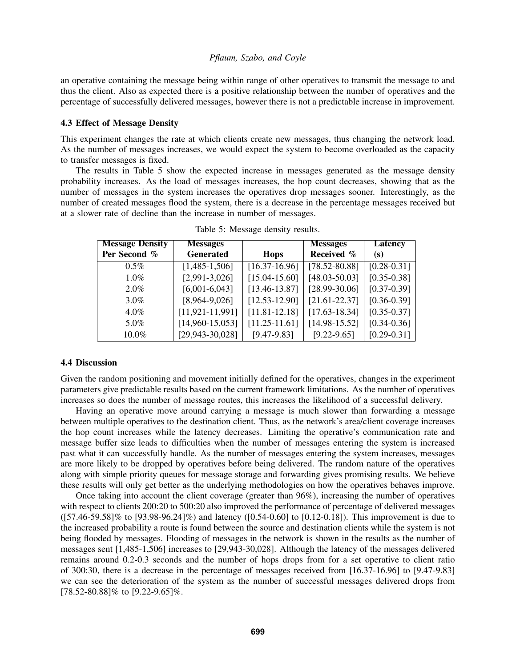an operative containing the message being within range of other operatives to transmit the message to and thus the client. Also as expected there is a positive relationship between the number of operatives and the percentage of successfully delivered messages, however there is not a predictable increase in improvement.

### 4.3 Effect of Message Density

This experiment changes the rate at which clients create new messages, thus changing the network load. As the number of messages increases, we would expect the system to become overloaded as the capacity to transfer messages is fixed.

The results in Table [5](#page-9-0) show the expected increase in messages generated as the message density probability increases. As the load of messages increases, the hop count decreases, showing that as the number of messages in the system increases the operatives drop messages sooner. Interestingly, as the number of created messages flood the system, there is a decrease in the percentage messages received but at a slower rate of decline than the increase in number of messages.

| <b>Message Density</b> | <b>Messages</b>       |                   | <b>Messages</b>   | <b>Latency</b>  |
|------------------------|-----------------------|-------------------|-------------------|-----------------|
| Per Second %           | <b>Generated</b>      | <b>Hops</b>       | Received %        | (s)             |
| $0.5\%$                | $[1,485-1,506]$       | $[16.37-16.96]$   | $[78.52 - 80.88]$ | $[0.28 - 0.31]$ |
| $1.0\%$                | $[2,991-3,026]$       | $[15.04 - 15.60]$ | $[48.03 - 50.03]$ | $[0.35 - 0.38]$ |
| $2.0\%$                | $[6,001-6,043]$       | $[13.46 - 13.87]$ | $[28.99 - 30.06]$ | $[0.37 - 0.39]$ |
| $3.0\%$                | $[8,964-9,026]$       | $[12.53 - 12.90]$ | $[21.61 - 22.37]$ | $[0.36 - 0.39]$ |
| $4.0\%$                | $[11, 921 - 11, 991]$ | $[11.81 - 12.18]$ | $[17.63 - 18.34]$ | $[0.35 - 0.37]$ |
| 5.0%                   | $[14,960-15,053]$     | $[11.25 - 11.61]$ | $[14.98 - 15.52]$ | $[0.34 - 0.36]$ |
| 10.0%                  | [29,943-30,028]       | $[9.47 - 9.83]$   | $[9.22 - 9.65]$   | $[0.29 - 0.31]$ |

<span id="page-9-0"></span>Table 5: Message density results.

#### 4.4 Discussion

Given the random positioning and movement initially defined for the operatives, changes in the experiment parameters give predictable results based on the current framework limitations. As the number of operatives increases so does the number of message routes, this increases the likelihood of a successful delivery.

Having an operative move around carrying a message is much slower than forwarding a message between multiple operatives to the destination client. Thus, as the network's area/client coverage increases the hop count increases while the latency decreases. Limiting the operative's communication rate and message buffer size leads to difficulties when the number of messages entering the system is increased past what it can successfully handle. As the number of messages entering the system increases, messages are more likely to be dropped by operatives before being delivered. The random nature of the operatives along with simple priority queues for message storage and forwarding gives promising results. We believe these results will only get better as the underlying methodologies on how the operatives behaves improve.

Once taking into account the client coverage (greater than 96%), increasing the number of operatives with respect to clients 200:20 to 500:20 also improved the performance of percentage of delivered messages ([57.46-59.58]% to [93.98-96.24]%) and latency ([0.54-0.60] to [0.12-0.18]). This improvement is due to the increased probability a route is found between the source and destination clients while the system is not being flooded by messages. Flooding of messages in the network is shown in the results as the number of messages sent [1,485-1,506] increases to [29,943-30,028]. Although the latency of the messages delivered remains around 0.2-0.3 seconds and the number of hops drops from for a set operative to client ratio of 300:30, there is a decrease in the percentage of messages received from [16.37-16.96] to [9.47-9.83] we can see the deterioration of the system as the number of successful messages delivered drops from  $[78.52-80.88]\%$  to  $[9.22-9.65]\%$ .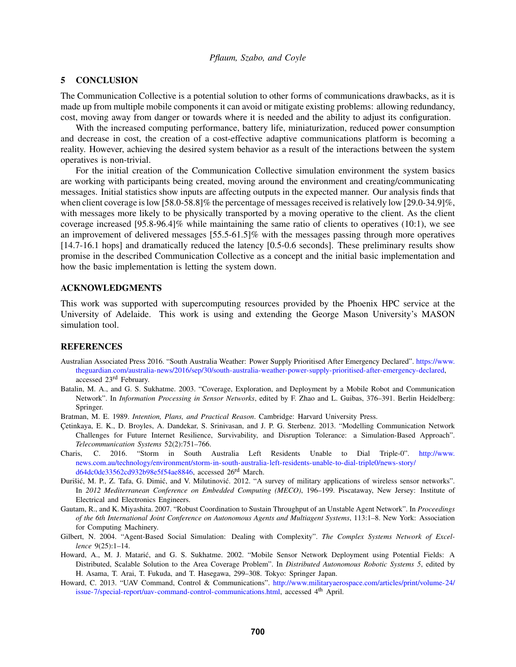#### 5 CONCLUSION

The Communication Collective is a potential solution to other forms of communications drawbacks, as it is made up from multiple mobile components it can avoid or mitigate existing problems: allowing redundancy, cost, moving away from danger or towards where it is needed and the ability to adjust its configuration.

With the increased computing performance, battery life, miniaturization, reduced power consumption and decrease in cost, the creation of a cost-effective adaptive communications platform is becoming a reality. However, achieving the desired system behavior as a result of the interactions between the system operatives is non-trivial.

For the initial creation of the Communication Collective simulation environment the system basics are working with participants being created, moving around the environment and creating/communicating messages. Initial statistics show inputs are affecting outputs in the expected manner. Our analysis finds that when client coverage is low [58.0-58.8]% the percentage of messages received is relatively low [29.0-34.9]%, with messages more likely to be physically transported by a moving operative to the client. As the client coverage increased [95.8-96.4]% while maintaining the same ratio of clients to operatives (10:1), we see an improvement of delivered messages [55.5-61.5]% with the messages passing through more operatives [14.7-16.1 hops] and dramatically reduced the latency [0.5-0.6 seconds]. These preliminary results show promise in the described Communication Collective as a concept and the initial basic implementation and how the basic implementation is letting the system down.

#### ACKNOWLEDGMENTS

This work was supported with supercomputing resources provided by the Phoenix HPC service at the University of Adelaide. This work is using and extending the George Mason University's MASON simulation tool.

#### **REFERENCES**

- <span id="page-10-1"></span>Australian Associated Press 2016. "South Australia Weather: Power Supply Prioritised After Emergency Declared". [https://www.](https://www.theguardian.com/australia-news/2016/sep/30/south-australia-weather-power-supply-prioritised-after-emergency-declared) [theguardian.com/australia-news/2016/sep/30/south-australia-weather-power-supply-prioritised-after-emergency-declared,](https://www.theguardian.com/australia-news/2016/sep/30/south-australia-weather-power-supply-prioritised-after-emergency-declared) accessed 23rd February.
- <span id="page-10-8"></span>Batalin, M. A., and G. S. Sukhatme. 2003. "Coverage, Exploration, and Deployment by a Mobile Robot and Communication Network". In *Information Processing in Sensor Networks*, edited by F. Zhao and L. Guibas, 376–391. Berlin Heidelberg: Springer.
- <span id="page-10-9"></span>Bratman, M. E. 1989. *Intention, Plans, and Practical Reason*. Cambridge: Harvard University Press.
- <span id="page-10-0"></span>Çetinkaya, E. K., D. Broyles, A. Dandekar, S. Srinivasan, and J. P. G. Sterbenz. 2013. "Modelling Communication Network Challenges for Future Internet Resilience, Survivability, and Disruption Tolerance: a Simulation-Based Approach". *Telecommunication Systems* 52(2):751–766.
- <span id="page-10-2"></span>Charis, C. 2016. "Storm in South Australia Left Residents Unable to Dial Triple-0". [http://www.](http://www.news.com.au/technology/environment/storm-in-south-australia-left-residents-unable-to-dial-triple0/news-story/d64dc0de33562cd932b98e5f54ae8846) [news.com.au/technology/environment/storm-in-south-australia-left-residents-unable-to-dial-triple0/news-story/](http://www.news.com.au/technology/environment/storm-in-south-australia-left-residents-unable-to-dial-triple0/news-story/d64dc0de33562cd932b98e5f54ae8846) [d64dc0de33562cd932b98e5f54ae8846,](http://www.news.com.au/technology/environment/storm-in-south-australia-left-residents-unable-to-dial-triple0/news-story/d64dc0de33562cd932b98e5f54ae8846) accessed 26rd March.
- <span id="page-10-3"></span>Đurišić, M. P., Z. Tafa, G. Dimić, and V. Milutinović. 2012. "A survey of military applications of wireless sensor networks". In *2012 Mediterranean Conference on Embedded Computing (MECO)*, 196–199. Piscataway, New Jersey: Institute of Electrical and Electronics Engineers.
- <span id="page-10-5"></span>Gautam, R., and K. Miyashita. 2007. "Robust Coordination to Sustain Throughput of an Unstable Agent Network". In *Proceedings of the 6th International Joint Conference on Autonomous Agents and Multiagent Systems*, 113:1–8. New York: Association for Computing Machinery.
- <span id="page-10-6"></span>Gilbert, N. 2004. "Agent-Based Social Simulation: Dealing with Complexity". *The Complex Systems Network of Excellence* 9(25):1–14.
- <span id="page-10-7"></span>Howard, A., M. J. Mataric, and G. S. Sukhatme. 2002. "Mobile Sensor Network Deployment using Potential Fields: A ´ Distributed, Scalable Solution to the Area Coverage Problem". In *Distributed Autonomous Robotic Systems 5*, edited by H. Asama, T. Arai, T. Fukuda, and T. Hasegawa, 299–308. Tokyo: Springer Japan.
- <span id="page-10-4"></span>Howard, C. 2013. "UAV Command, Control & Communications". [http://www.militaryaerospace.com/articles/print/volume-24/](http://www.militaryaerospace.com/articles/print/volume-24/issue-7/special-report/uav-command-control-communications.html) [issue-7/special-report/uav-command-control-communications.html,](http://www.militaryaerospace.com/articles/print/volume-24/issue-7/special-report/uav-command-control-communications.html) accessed 4th April.